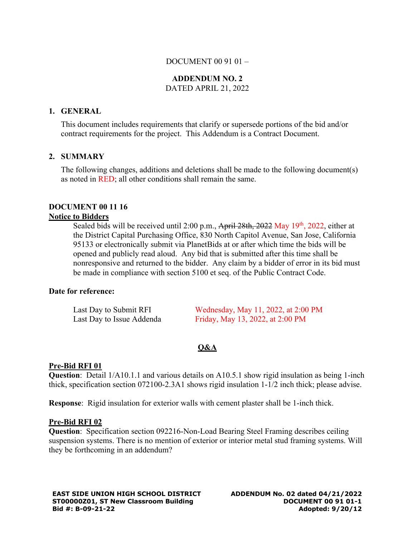#### DOCUMENT 00 91 01 –

# **ADDENDUM NO. 2**

#### DATED APRIL 21, 2022

#### **1. GENERAL**

This document includes requirements that clarify or supersede portions of the bid and/or contract requirements for the project. This Addendum is a Contract Document.

#### **2. SUMMARY**

The following changes, additions and deletions shall be made to the following document(s) as noted in RED; all other conditions shall remain the same.

#### **DOCUMENT 00 11 16**

#### **Notice to Bidders**

Sealed bids will be received until 2:00 p.m., April  $28th$ ,  $2022$  May  $19<sup>th</sup>$ ,  $2022$ , either at the District Capital Purchasing Office, 830 North Capitol Avenue, San Jose, California 95133 or electronically submit via PlanetBids at or after which time the bids will be opened and publicly read aloud. Any bid that is submitted after this time shall be nonresponsive and returned to the bidder. Any claim by a bidder of error in its bid must be made in compliance with section 5100 et seq. of the Public Contract Code.

#### **Date for reference:**

| Last Day to Submit RFI    | Wednesday, May 11, 2022, at 2:00 PM |
|---------------------------|-------------------------------------|
| Last Day to Issue Addenda | Friday, May 13, 2022, at 2:00 PM    |

#### **Q&A**

#### **Pre-Bid RFI 01**

**Question**: Detail  $1/A10.1.1$  and various details on A10.5.1 show rigid insulation as being 1-inch thick, specification section 072100-2.3A1 shows rigid insulation 1-1/2 inch thick; please advise.

**Response**: Rigid insulation for exterior walls with cement plaster shall be 1-inch thick.

#### **Pre-Bid RFI 02**

**Question**: Specification section 092216-Non-Load Bearing Steel Framing describes ceiling suspension systems. There is no mention of exterior or interior metal stud framing systems. Will they be forthcoming in an addendum?

**EAST SIDE UNION HIGH SCHOOL DISTRICT ST00000Z01, ST New Classroom Building Bid #: B-09-21-22 Adopted: 9/20/12**

**ADDENDUM No. 02 dated 04/21/2022 DOCUMENT 00 91 01-1**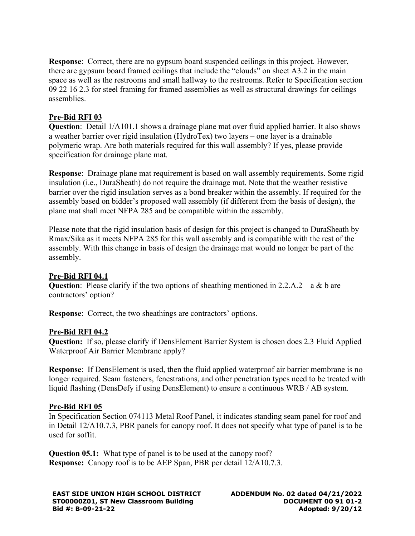**Response**: Correct, there are no gypsum board suspended ceilings in this project. However, there are gypsum board framed ceilings that include the "clouds" on sheet A3.2 in the main space as well as the restrooms and small hallway to the restrooms. Refer to Specification section 09 22 16 2.3 for steel framing for framed assemblies as well as structural drawings for ceilings assemblies.

## **Pre-Bid RFI 03**

**Question**: Detail 1/A101.1 shows a drainage plane mat over fluid applied barrier. It also shows a weather barrier over rigid insulation (HydroTex) two layers – one layer is a drainable polymeric wrap. Are both materials required for this wall assembly? If yes, please provide specification for drainage plane mat.

**Response**: Drainage plane mat requirement is based on wall assembly requirements. Some rigid insulation (i.e., DuraSheath) do not require the drainage mat. Note that the weather resistive barrier over the rigid insulation serves as a bond breaker within the assembly. If required for the assembly based on bidder's proposed wall assembly (if different from the basis of design), the plane mat shall meet NFPA 285 and be compatible within the assembly.

Please note that the rigid insulation basis of design for this project is changed to DuraSheath by Rmax/Sika as it meets NFPA 285 for this wall assembly and is compatible with the rest of the assembly. With this change in basis of design the drainage mat would no longer be part of the assembly.

#### **Pre-Bid RFI 04.1**

**Question**: Please clarify if the two options of sheathing mentioned in 2.2.A.2 – a & b are contractors' option?

**Response**: Correct, the two sheathings are contractors' options.

#### **Pre-Bid RFI 04.2**

**Question:** If so, please clarify if DensElement Barrier System is chosen does 2.3 Fluid Applied Waterproof Air Barrier Membrane apply?

**Response**: If DensElement is used, then the fluid applied waterproof air barrier membrane is no longer required. Seam fasteners, fenestrations, and other penetration types need to be treated with liquid flashing (DensDefy if using DensElement) to ensure a continuous WRB / AB system.

#### **Pre-Bid RFI 05**

In Specification Section 074113 Metal Roof Panel, it indicates standing seam panel for roof and in Detail 12/A10.7.3, PBR panels for canopy roof. It does not specify what type of panel is to be used for soffit.

**Question 05.1:** What type of panel is to be used at the canopy roof? **Response:** Canopy roof is to be AEP Span, PBR per detail 12/A10.7.3.

**EAST SIDE UNION HIGH SCHOOL DISTRICT ST00000Z01, ST New Classroom Building Bid #: B-09-21-22 Adopted: 9/20/12**

**ADDENDUM No. 02 dated 04/21/2022 DOCUMENT 00 91 01-2**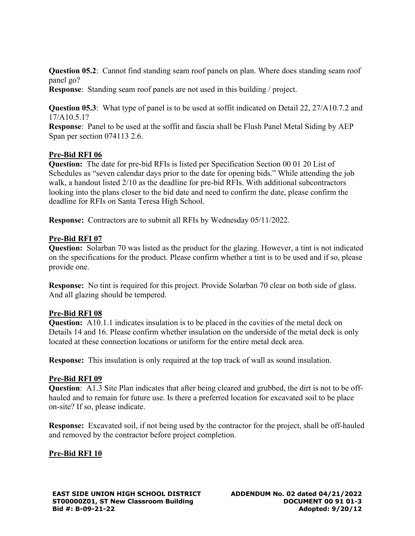**Question 05.2**: Cannot find standing seam roof panels on plan. Where does standing seam roof panel go?

**Response**: Standing seam roof panels are not used in this building / project.

**Question 05.3**: What type of panel is to be used at soffit indicated on Detail 22, 27/A10.7.2 and 17/A10.5.1?

**Response**: Panel to be used at the soffit and fascia shall be Flush Panel Metal Siding by AEP Span per section 074113 2.6.

## **Pre-Bid RFI 06**

**Question:** The date for pre-bid RFIs is listed per Specification Section 00 01 20 List of Schedules as "seven calendar days prior to the date for opening bids." While attending the job walk, a handout listed 2/10 as the deadline for pre-bid RFIs. With additional subcontractors looking into the plans closer to the bid date and need to confirm the date, please confirm the deadline for RFIs on Santa Teresa High School.

**Response:** Contractors are to submit all RFIs by Wednesday 05/11/2022.

## **Pre-Bid RFI 07**

**Question:** Solarban 70 was listed as the product for the glazing. However, a tint is not indicated on the specifications for the product. Please confirm whether a tint is to be used and if so, please provide one.

**Response:** No tint is required for this project. Provide Solarban 70 clear on both side of glass. And all glazing should be tempered.

# **Pre-Bid RFI 08**

**Question:** A10.1.1 indicates insulation is to be placed in the cavities of the metal deck on Details 14 and 16. Please confirm whether insulation on the underside of the metal deck is only located at these connection locations or uniform for the entire metal deck area.

**Response:** This insulation is only required at the top track of wall as sound insulation.

#### **Pre-Bid RFI 09**

**Question**: A1.3 Site Plan indicates that after being cleared and grubbed, the dirt is not to be offhauled and to remain for future use. Is there a preferred location for excavated soil to be place on-site? If so, please indicate.

**Response:** Excavated soil, if not being used by the contractor for the project, shall be off-hauled and removed by the contractor before project completion.

# **Pre-Bid RFI 10**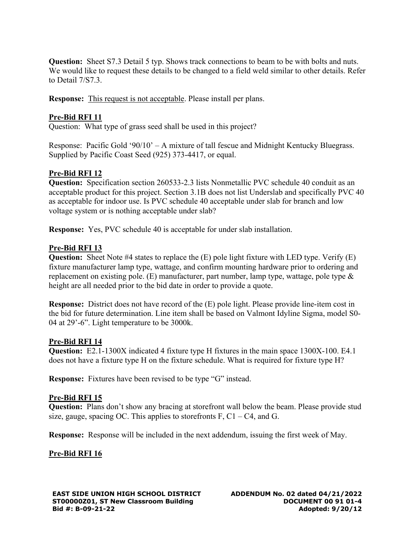**Question:** Sheet S7.3 Detail 5 typ. Shows track connections to beam to be with bolts and nuts. We would like to request these details to be changed to a field weld similar to other details. Refer to Detail 7/S7.3.

**Response:** This request is not acceptable. Please install per plans.

# **Pre-Bid RFI 11**

Question: What type of grass seed shall be used in this project?

Response: Pacific Gold '90/10' – A mixture of tall fescue and Midnight Kentucky Bluegrass. Supplied by Pacific Coast Seed (925) 373-4417, or equal.

## **Pre-Bid RFI 12**

**Question:** Specification section 260533-2.3 lists Nonmetallic PVC schedule 40 conduit as an acceptable product for this project. Section 3.1B does not list Underslab and specifically PVC 40 as acceptable for indoor use. Is PVC schedule 40 acceptable under slab for branch and low voltage system or is nothing acceptable under slab?

**Response:** Yes, PVC schedule 40 is acceptable for under slab installation.

## **Pre-Bid RFI 13**

**Question:** Sheet Note #4 states to replace the (E) pole light fixture with LED type. Verify (E) fixture manufacturer lamp type, wattage, and confirm mounting hardware prior to ordering and replacement on existing pole. (E) manufacturer, part number, lamp type, wattage, pole type  $\&$ height are all needed prior to the bid date in order to provide a quote.

**Response:** District does not have record of the (E) pole light. Please provide line-item cost in the bid for future determination. Line item shall be based on Valmont Idyline Sigma, model S0- 04 at 29'-6". Light temperature to be 3000k.

#### **Pre-Bid RFI 14**

**Question:** E2.1-1300X indicated 4 fixture type H fixtures in the main space 1300X-100. E4.1 does not have a fixture type H on the fixture schedule. What is required for fixture type H?

**Response:** Fixtures have been revised to be type "G" instead.

#### **Pre-Bid RFI 15**

**Question:** Plans don't show any bracing at storefront wall below the beam. Please provide stud size, gauge, spacing OC. This applies to storefronts  $F, C1 - C4$ , and G.

**Response:** Response will be included in the next addendum, issuing the first week of May.

# **Pre-Bid RFI 16**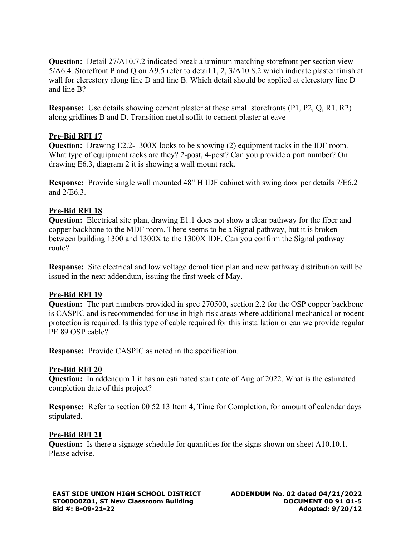**Question:** Detail 27/A10.7.2 indicated break aluminum matching storefront per section view 5/A6.4. Storefront P and Q on A9.5 refer to detail 1, 2, 3/A10.8.2 which indicate plaster finish at wall for clerestory along line D and line B. Which detail should be applied at clerestory line D and line B?

**Response:** Use details showing cement plaster at these small storefronts (P1, P2, Q, R1, R2) along gridlines B and D. Transition metal soffit to cement plaster at eave

## **Pre-Bid RFI 17**

**Question:** Drawing E2.2-1300X looks to be showing (2) equipment racks in the IDF room. What type of equipment racks are they? 2-post, 4-post? Can you provide a part number? On drawing E6.3, diagram 2 it is showing a wall mount rack.

**Response:** Provide single wall mounted 48" H IDF cabinet with swing door per details 7/E6.2 and 2/E6.3.

# **Pre-Bid RFI 18**

**Question:** Electrical site plan, drawing E1.1 does not show a clear pathway for the fiber and copper backbone to the MDF room. There seems to be a Signal pathway, but it is broken between building 1300 and 1300X to the 1300X IDF. Can you confirm the Signal pathway route?

**Response:** Site electrical and low voltage demolition plan and new pathway distribution will be issued in the next addendum, issuing the first week of May.

#### **Pre-Bid RFI 19**

**Question:** The part numbers provided in spec 270500, section 2.2 for the OSP copper backbone is CASPIC and is recommended for use in high-risk areas where additional mechanical or rodent protection is required. Is this type of cable required for this installation or can we provide regular PE 89 OSP cable?

**Response:** Provide CASPIC as noted in the specification.

#### **Pre-Bid RFI 20**

**Question:** In addendum 1 it has an estimated start date of Aug of 2022. What is the estimated completion date of this project?

**Response:** Refer to section 00 52 13 Item 4, Time for Completion, for amount of calendar days stipulated.

# **Pre-Bid RFI 21**

**Question:** Is there a signage schedule for quantities for the signs shown on sheet A10.10.1. Please advise.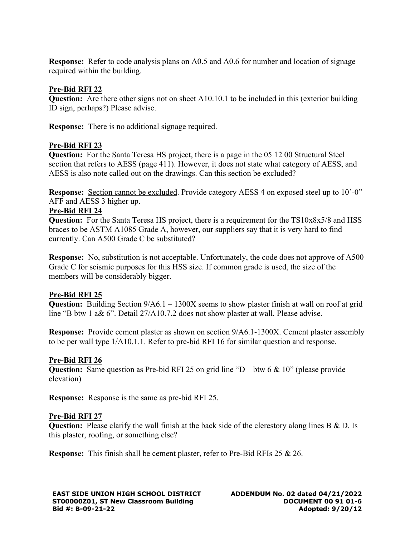**Response:** Refer to code analysis plans on A0.5 and A0.6 for number and location of signage required within the building.

# **Pre-Bid RFI 22**

**Question:** Are there other signs not on sheet A10.10.1 to be included in this (exterior building ID sign, perhaps?) Please advise.

**Response:** There is no additional signage required.

## **Pre-Bid RFI 23**

**Question:** For the Santa Teresa HS project, there is a page in the 05 12 00 Structural Steel section that refers to AESS (page 411). However, it does not state what category of AESS, and AESS is also note called out on the drawings. Can this section be excluded?

**Response:** Section cannot be excluded. Provide category AESS 4 on exposed steel up to 10'-0" AFF and AESS 3 higher up.

## **Pre-Bid RFI 24**

**Question:** For the Santa Teresa HS project, there is a requirement for the TS10x8x5/8 and HSS braces to be ASTM A1085 Grade A, however, our suppliers say that it is very hard to find currently. Can A500 Grade C be substituted?

**Response:** No, substitution is not acceptable. Unfortunately, the code does not approve of A500 Grade C for seismic purposes for this HSS size. If common grade is used, the size of the members will be considerably bigger.

# **Pre-Bid RFI 25**

**Question:** Building Section  $9/A6.1 - 1300X$  seems to show plaster finish at wall on roof at grid line "B btw 1 a& 6". Detail 27/A10.7.2 does not show plaster at wall. Please advise.

**Response:** Provide cement plaster as shown on section 9/A6.1-1300X. Cement plaster assembly to be per wall type 1/A10.1.1. Refer to pre-bid RFI 16 for similar question and response.

# **Pre-Bid RFI 26**

**Question:** Same question as Pre-bid RFI 25 on grid line "D – btw 6 & 10" (please provide elevation)

**Response:** Response is the same as pre-bid RFI 25.

#### **Pre-Bid RFI 27**

**Question:** Please clarify the wall finish at the back side of the clerestory along lines B & D. Is this plaster, roofing, or something else?

**Response:** This finish shall be cement plaster, refer to Pre-Bid RFIs 25 & 26.

**EAST SIDE UNION HIGH SCHOOL DISTRICT ST00000Z01, ST New Classroom Building Bid #: B-09-21-22 Adopted: 9/20/12**

**ADDENDUM No. 02 dated 04/21/2022 DOCUMENT 00 91 01-6**